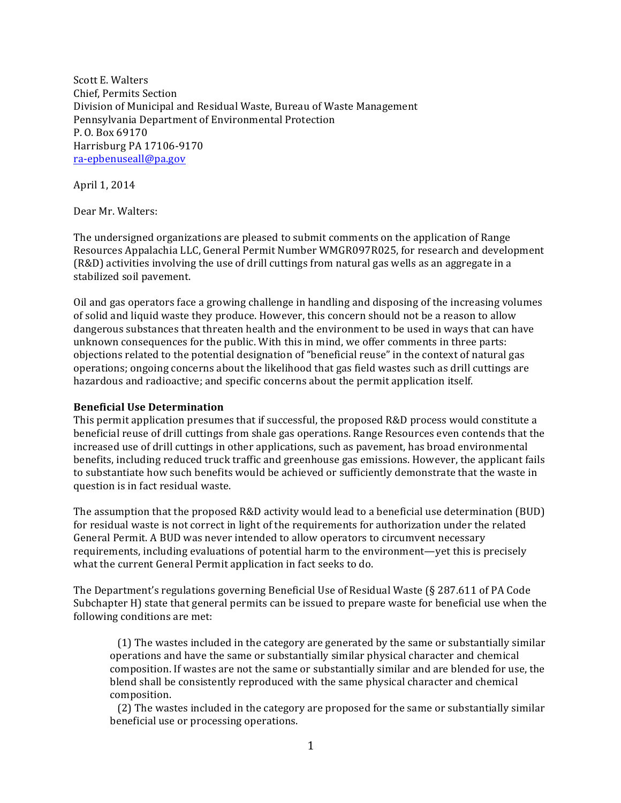Scott E. Walters Chief, Permits Section Division of Municipal and Residual Waste, Bureau of Waste Management Pennsylvania Department of Environmental Protection P. O. Box 69170 Harrisburg PA 17106-9170 ra-epbenuseall@pa.gov

April 1, 2014

Dear Mr. Walters:

The undersigned organizations are pleased to submit comments on the application of Range Resources Appalachia LLC, General Permit Number WMGR097R025, for research and development (R&D) activities involving the use of drill cuttings from natural gas wells as an aggregate in a stabilized soil pavement.

Oil and gas operators face a growing challenge in handling and disposing of the increasing volumes of solid and liquid waste they produce. However, this concern should not be a reason to allow dangerous substances that threaten health and the environment to be used in ways that can have unknown consequences for the public. With this in mind, we offer comments in three parts: objections related to the potential designation of "beneficial reuse" in the context of natural gas operations; ongoing concerns about the likelihood that gas field wastes such as drill cuttings are hazardous and radioactive; and specific concerns about the permit application itself.

## **Beneficial Use Determination**

This permit application presumes that if successful, the proposed R&D process would constitute a beneficial reuse of drill cuttings from shale gas operations. Range Resources even contends that the increased use of drill cuttings in other applications, such as pavement, has broad environmental benefits, including reduced truck traffic and greenhouse gas emissions. However, the applicant fails to substantiate how such benefits would be achieved or sufficiently demonstrate that the waste in question is in fact residual waste.

The assumption that the proposed R&D activity would lead to a beneficial use determination (BUD) for residual waste is not correct in light of the requirements for authorization under the related General Permit. A BUD was never intended to allow operators to circumvent necessary requirements, including evaluations of potential harm to the environment—yet this is precisely what the current General Permit application in fact seeks to do.

The Department's regulations governing Beneficial Use of Residual Waste  $\S$  287.611 of PA Code Subchapter H) state that general permits can be issued to prepare waste for beneficial use when the following conditions are met:

 $(1)$  The wastes included in the category are generated by the same or substantially similar operations and have the same or substantially similar physical character and chemical composition. If wastes are not the same or substantially similar and are blended for use, the blend shall be consistently reproduced with the same physical character and chemical composition. 

(2) The wastes included in the category are proposed for the same or substantially similar beneficial use or processing operations.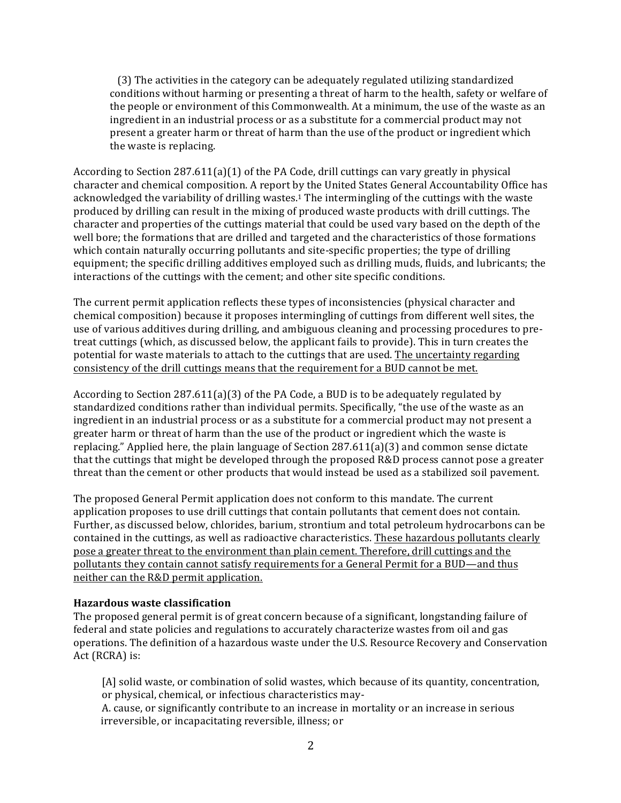(3) The activities in the category can be adequately regulated utilizing standardized conditions without harming or presenting a threat of harm to the health, safety or welfare of the people or environment of this Commonwealth. At a minimum, the use of the waste as an ingredient in an industrial process or as a substitute for a commercial product may not present a greater harm or threat of harm than the use of the product or ingredient which the waste is replacing.

According to Section  $287.611(a)(1)$  of the PA Code, drill cuttings can vary greatly in physical character and chemical composition. A report by the United States General Accountability Office has acknowledged the variability of drilling wastes.<sup>1</sup> The intermingling of the cuttings with the waste produced by drilling can result in the mixing of produced waste products with drill cuttings. The character and properties of the cuttings material that could be used vary based on the depth of the well bore; the formations that are drilled and targeted and the characteristics of those formations which contain naturally occurring pollutants and site-specific properties; the type of drilling equipment; the specific drilling additives employed such as drilling muds, fluids, and lubricants; the interactions of the cuttings with the cement; and other site specific conditions.

The current permit application reflects these types of inconsistencies (physical character and chemical composition) because it proposes intermingling of cuttings from different well sites, the use of various additives during drilling, and ambiguous cleaning and processing procedures to pretreat cuttings (which, as discussed below, the applicant fails to provide). This in turn creates the potential for waste materials to attach to the cuttings that are used. The uncertainty regarding consistency of the drill cuttings means that the requirement for a BUD cannot be met.

According to Section  $287.611(a)(3)$  of the PA Code, a BUD is to be adequately regulated by standardized conditions rather than individual permits. Specifically, "the use of the waste as an ingredient in an industrial process or as a substitute for a commercial product may not present a greater harm or threat of harm than the use of the product or ingredient which the waste is replacing." Applied here, the plain language of Section  $287.611(a)(3)$  and common sense dictate that the cuttings that might be developed through the proposed R&D process cannot pose a greater threat than the cement or other products that would instead be used as a stabilized soil pavement.

The proposed General Permit application does not conform to this mandate. The current application proposes to use drill cuttings that contain pollutants that cement does not contain. Further, as discussed below, chlorides, barium, strontium and total petroleum hydrocarbons can be contained in the cuttings, as well as radioactive characteristics. These hazardous pollutants clearly pose a greater threat to the environment than plain cement. Therefore, drill cuttings and the pollutants they contain cannot satisfy requirements for a General Permit for a BUD—and thus neither can the R&D permit application.

## **Hazardous waste classification**

The proposed general permit is of great concern because of a significant, longstanding failure of federal and state policies and regulations to accurately characterize wastes from oil and gas operations. The definition of a hazardous waste under the U.S. Resource Recovery and Conservation Act (RCRA) is:

[A] solid waste, or combination of solid wastes, which because of its quantity, concentration, or physical, chemical, or infectious characteristics may-

A. cause, or significantly contribute to an increase in mortality or an increase in serious irreversible, or incapacitating reversible, illness; or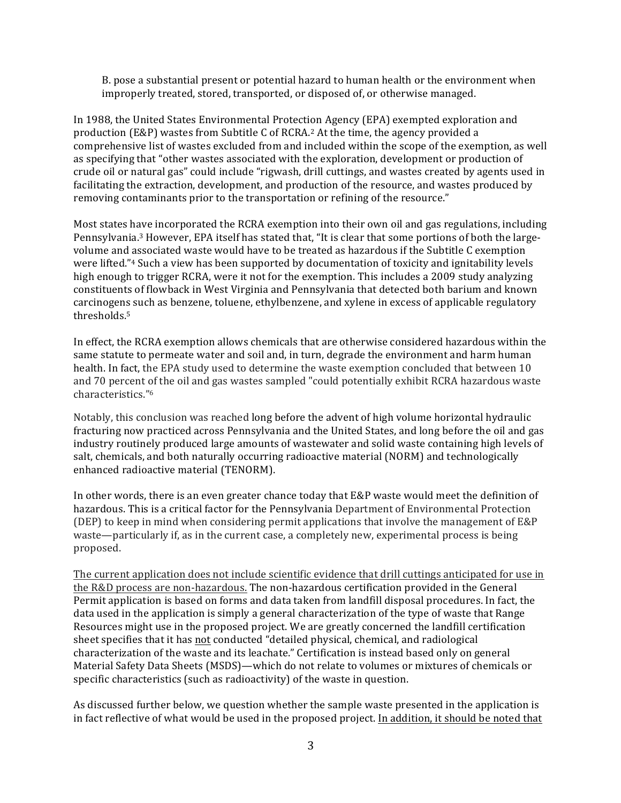B. pose a substantial present or potential hazard to human health or the environment when improperly treated, stored, transported, or disposed of, or otherwise managed.

In 1988, the United States Environmental Protection Agency (EPA) exempted exploration and production (E&P) wastes from Subtitle C of RCRA.<sup>2</sup> At the time, the agency provided a comprehensive list of wastes excluded from and included within the scope of the exemption, as well as specifying that "other wastes associated with the exploration, development or production of crude oil or natural gas" could include "rigwash, drill cuttings, and wastes created by agents used in facilitating the extraction, development, and production of the resource, and wastes produced by removing contaminants prior to the transportation or refining of the resource."

Most states have incorporated the RCRA exemption into their own oil and gas regulations, including Pennsylvania.<sup>3</sup> However, EPA itself has stated that, "It is clear that some portions of both the largevolume and associated waste would have to be treated as hazardous if the Subtitle C exemption were lifted."<sup>4</sup> Such a view has been supported by documentation of toxicity and ignitability levels high enough to trigger RCRA, were it not for the exemption. This includes a 2009 study analyzing constituents of flowback in West Virginia and Pennsylvania that detected both barium and known carcinogens such as benzene, toluene, ethylbenzene, and xylene in excess of applicable regulatory thresholds.5

In effect, the RCRA exemption allows chemicals that are otherwise considered hazardous within the same statute to permeate water and soil and, in turn, degrade the environment and harm human health. In fact, the EPA study used to determine the waste exemption concluded that between 10 and 70 percent of the oil and gas wastes sampled "could potentially exhibit RCRA hazardous waste characteristics."6

Notably, this conclusion was reached long before the advent of high volume horizontal hydraulic fracturing now practiced across Pennsylvania and the United States, and long before the oil and gas industry routinely produced large amounts of wastewater and solid waste containing high levels of salt, chemicals, and both naturally occurring radioactive material (NORM) and technologically enhanced radioactive material (TENORM).

In other words, there is an even greater chance today that E&P waste would meet the definition of hazardous. This is a critical factor for the Pennsylvania Department of Environmental Protection (DEP) to keep in mind when considering permit applications that involve the management of E&P waste—particularly if, as in the current case, a completely new, experimental process is being proposed. 

The current application does not include scientific evidence that drill cuttings anticipated for use in the R&D process are non-hazardous. The non-hazardous certification provided in the General Permit application is based on forms and data taken from landfill disposal procedures. In fact, the data used in the application is simply a general characterization of the type of waste that Range Resources might use in the proposed project. We are greatly concerned the landfill certification sheet specifies that it has not conducted "detailed physical, chemical, and radiological characterization of the waste and its leachate." Certification is instead based only on general Material Safety Data Sheets (MSDS)—which do not relate to volumes or mixtures of chemicals or specific characteristics (such as radioactivity) of the waste in question.

As discussed further below, we question whether the sample waste presented in the application is in fact reflective of what would be used in the proposed project. In addition, it should be noted that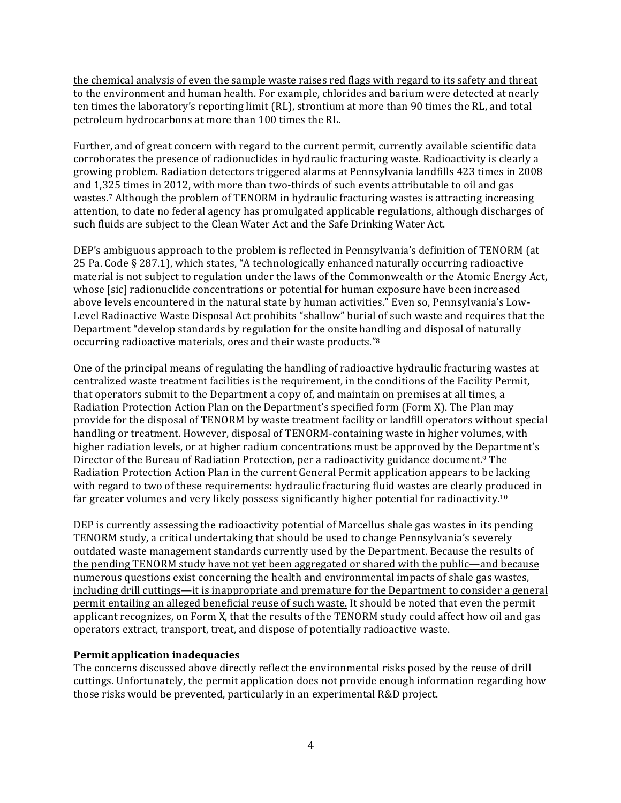the chemical analysis of even the sample waste raises red flags with regard to its safety and threat to the environment and human health. For example, chlorides and barium were detected at nearly ten times the laboratory's reporting limit (RL), strontium at more than 90 times the RL, and total petroleum hydrocarbons at more than 100 times the RL.

Further, and of great concern with regard to the current permit, currently available scientific data corroborates the presence of radionuclides in hydraulic fracturing waste. Radioactivity is clearly a growing problem. Radiation detectors triggered alarms at Pennsylvania landfills 423 times in 2008 and 1,325 times in 2012, with more than two-thirds of such events attributable to oil and gas wastes.<sup>7</sup> Although the problem of TENORM in hydraulic fracturing wastes is attracting increasing attention, to date no federal agency has promulgated applicable regulations, although discharges of such fluids are subject to the Clean Water Act and the Safe Drinking Water Act.

DEP's ambiguous approach to the problem is reflected in Pennsylvania's definition of TENORM (at 25 Pa. Code § 287.1), which states, "A technologically enhanced naturally occurring radioactive material is not subject to regulation under the laws of the Commonwealth or the Atomic Energy Act, whose [sic] radionuclide concentrations or potential for human exposure have been increased above levels encountered in the natural state by human activities." Even so, Pennsylvania's Low-Level Radioactive Waste Disposal Act prohibits "shallow" burial of such waste and requires that the Department "develop standards by regulation for the onsite handling and disposal of naturally occurring radioactive materials, ores and their waste products."<sup>8</sup>

One of the principal means of regulating the handling of radioactive hydraulic fracturing wastes at centralized waste treatment facilities is the requirement, in the conditions of the Facility Permit, that operators submit to the Department a copy of, and maintain on premises at all times, a Radiation Protection Action Plan on the Department's specified form (Form X). The Plan may provide for the disposal of TENORM by waste treatment facility or landfill operators without special handling or treatment. However, disposal of TENORM-containing waste in higher volumes, with higher radiation levels, or at higher radium concentrations must be approved by the Department's Director of the Bureau of Radiation Protection, per a radioactivity guidance document.<sup>9</sup> The Radiation Protection Action Plan in the current General Permit application appears to be lacking with regard to two of these requirements: hydraulic fracturing fluid wastes are clearly produced in far greater volumes and very likely possess significantly higher potential for radioactivity.<sup>10</sup>

DEP is currently assessing the radioactivity potential of Marcellus shale gas wastes in its pending TENORM study, a critical undertaking that should be used to change Pennsylvania's severely outdated waste management standards currently used by the Department. Because the results of the pending TENORM study have not yet been aggregated or shared with the public—and because numerous questions exist concerning the health and environmental impacts of shale gas wastes, including drill cuttings—it is inappropriate and premature for the Department to consider a general permit entailing an alleged beneficial reuse of such waste. It should be noted that even the permit applicant recognizes, on Form X, that the results of the TENORM study could affect how oil and gas operators extract, transport, treat, and dispose of potentially radioactive waste.

## **Permit application inadequacies**

The concerns discussed above directly reflect the environmental risks posed by the reuse of drill cuttings. Unfortunately, the permit application does not provide enough information regarding how those risks would be prevented, particularly in an experimental R&D project.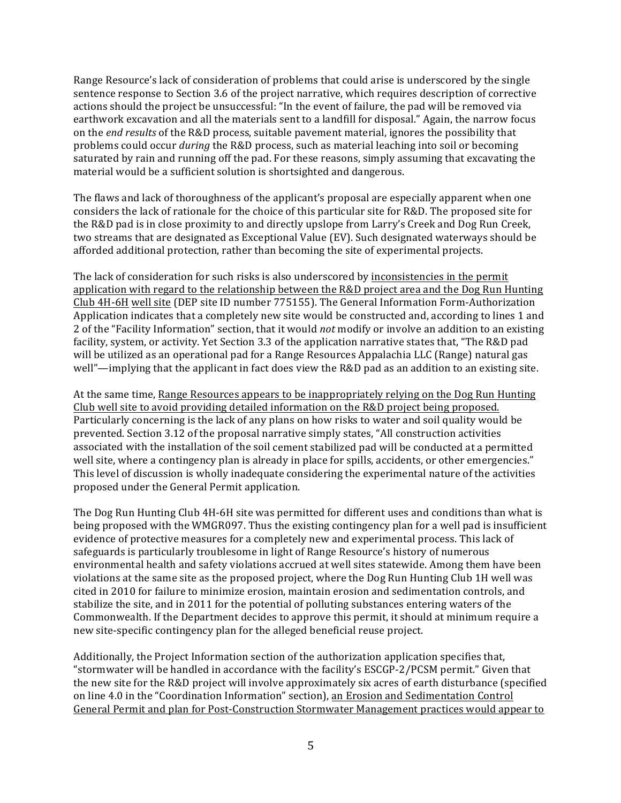Range Resource's lack of consideration of problems that could arise is underscored by the single sentence response to Section 3.6 of the project narrative, which requires description of corrective actions should the project be unsuccessful: "In the event of failure, the pad will be removed via earthwork excavation and all the materials sent to a landfill for disposal." Again, the narrow focus on the *end results* of the R&D process, suitable pavement material, ignores the possibility that problems could occur *during* the R&D process, such as material leaching into soil or becoming saturated by rain and running off the pad. For these reasons, simply assuming that excavating the material would be a sufficient solution is shortsighted and dangerous.

The flaws and lack of thoroughness of the applicant's proposal are especially apparent when one considers the lack of rationale for the choice of this particular site for R&D. The proposed site for the R&D pad is in close proximity to and directly upslope from Larry's Creek and Dog Run Creek, two streams that are designated as Exceptional Value (EV). Such designated waterways should be afforded additional protection, rather than becoming the site of experimental projects.

The lack of consideration for such risks is also underscored by inconsistencies in the permit application with regard to the relationship between the R&D project area and the Dog Run Hunting Club 4H-6H well site (DEP site ID number 775155). The General Information Form-Authorization Application indicates that a completely new site would be constructed and, according to lines 1 and 2 of the "Facility Information" section, that it would *not* modify or involve an addition to an existing facility, system, or activity. Yet Section 3.3 of the application narrative states that, "The R&D pad will be utilized as an operational pad for a Range Resources Appalachia LLC (Range) natural gas well"—implying that the applicant in fact does view the R&D pad as an addition to an existing site.

At the same time, Range Resources appears to be inappropriately relying on the Dog Run Hunting Club well site to avoid providing detailed information on the R&D project being proposed. Particularly concerning is the lack of any plans on how risks to water and soil quality would be prevented. Section 3.12 of the proposal narrative simply states, "All construction activities associated with the installation of the soil cement stabilized pad will be conducted at a permitted well site, where a contingency plan is already in place for spills, accidents, or other emergencies." This level of discussion is wholly inadequate considering the experimental nature of the activities proposed under the General Permit application.

The Dog Run Hunting Club 4H-6H site was permitted for different uses and conditions than what is being proposed with the WMGR097. Thus the existing contingency plan for a well pad is insufficient evidence of protective measures for a completely new and experimental process. This lack of safeguards is particularly troublesome in light of Range Resource's history of numerous environmental health and safety violations accrued at well sites statewide. Among them have been violations at the same site as the proposed project, where the Dog Run Hunting Club 1H well was cited in 2010 for failure to minimize erosion, maintain erosion and sedimentation controls, and stabilize the site, and in 2011 for the potential of polluting substances entering waters of the Commonwealth. If the Department decides to approve this permit, it should at minimum require a new site-specific contingency plan for the alleged beneficial reuse project.

Additionally, the Project Information section of the authorization application specifies that, "stormwater will be handled in accordance with the facility's ESCGP-2/PCSM permit." Given that the new site for the R&D project will involve approximately six acres of earth disturbance (specified on line 4.0 in the "Coordination Information" section), an Erosion and Sedimentation Control General Permit and plan for Post-Construction Stormwater Management practices would appear to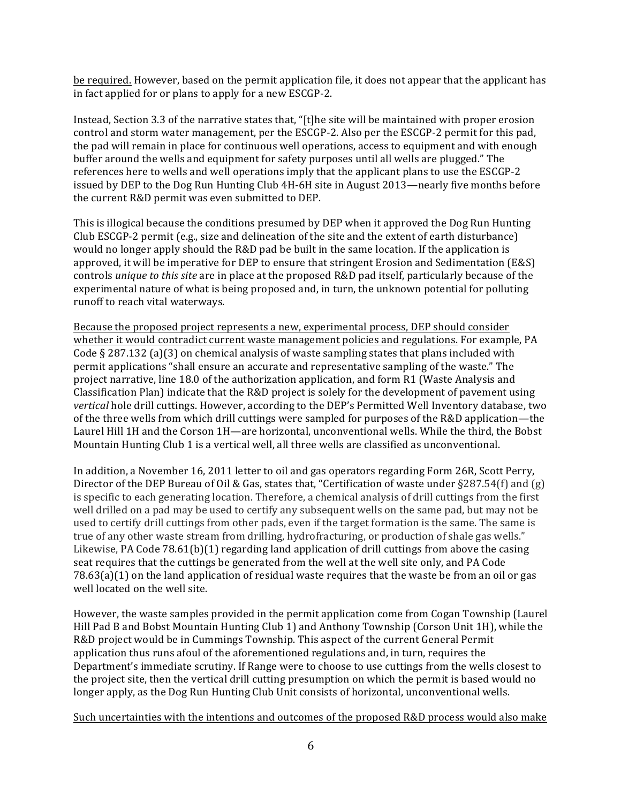be required. However, based on the permit application file, it does not appear that the applicant has in fact applied for or plans to apply for a new ESCGP-2.

Instead, Section 3.3 of the narrative states that, "[t]he site will be maintained with proper erosion control and storm water management, per the ESCGP-2. Also per the ESCGP-2 permit for this pad, the pad will remain in place for continuous well operations, access to equipment and with enough buffer around the wells and equipment for safety purposes until all wells are plugged." The references here to wells and well operations imply that the applicant plans to use the ESCGP-2 issued by DEP to the Dog Run Hunting Club 4H-6H site in August 2013—nearly five months before the current R&D permit was even submitted to DEP.

This is illogical because the conditions presumed by DEP when it approved the Dog Run Hunting Club ESCGP-2 permit  $(e.g., size and delineation of the site and the extent of earth disturbance)$ would no longer apply should the R&D pad be built in the same location. If the application is approved, it will be imperative for DEP to ensure that stringent Erosion and Sedimentation (E&S) controls *unique to this site* are in place at the proposed R&D pad itself, particularly because of the experimental nature of what is being proposed and, in turn, the unknown potential for polluting runoff to reach vital waterways.

Because the proposed project represents a new, experimental process, DEP should consider whether it would contradict current waste management policies and regulations. For example, PA Code § 287.132 (a)(3) on chemical analysis of waste sampling states that plans included with permit applications "shall ensure an accurate and representative sampling of the waste." The project narrative, line 18.0 of the authorization application, and form R1 (Waste Analysis and Classification Plan) indicate that the  $R&D$  project is solely for the development of pavement using vertical hole drill cuttings. However, according to the DEP's Permitted Well Inventory database, two of the three wells from which drill cuttings were sampled for purposes of the R&D application—the Laurel Hill 1H and the Corson 1H—are horizontal, unconventional wells. While the third, the Bobst Mountain Hunting Club 1 is a vertical well, all three wells are classified as unconventional.

In addition, a November 16, 2011 letter to oil and gas operators regarding Form 26R, Scott Perry, Director of the DEP Bureau of Oil & Gas, states that, "Certification of waste under  $\S 287.54(f)$  and (g) is specific to each generating location. Therefore, a chemical analysis of drill cuttings from the first well drilled on a pad may be used to certify any subsequent wells on the same pad, but may not be used to certify drill cuttings from other pads, even if the target formation is the same. The same is true of any other waste stream from drilling, hydrofracturing, or production of shale gas wells." Likewise, PA Code 78.61(b)(1) regarding land application of drill cuttings from above the casing seat requires that the cuttings be generated from the well at the well site only, and PA Code  $78.63(a)(1)$  on the land application of residual waste requires that the waste be from an oil or gas well located on the well site.

However, the waste samples provided in the permit application come from Cogan Township (Laurel Hill Pad B and Bobst Mountain Hunting Club 1) and Anthony Township (Corson Unit 1H), while the R&D project would be in Cummings Township. This aspect of the current General Permit application thus runs afoul of the aforementioned regulations and, in turn, requires the Department's immediate scrutiny. If Range were to choose to use cuttings from the wells closest to the project site, then the vertical drill cutting presumption on which the permit is based would no longer apply, as the Dog Run Hunting Club Unit consists of horizontal, unconventional wells.

Such uncertainties with the intentions and outcomes of the proposed R&D process would also make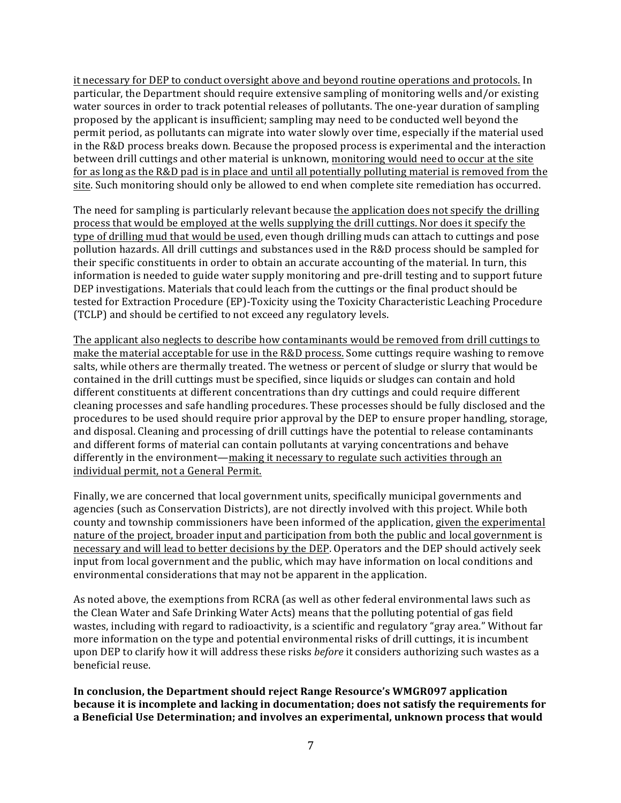it necessary for DEP to conduct oversight above and beyond routine operations and protocols. In particular, the Department should require extensive sampling of monitoring wells and/or existing water sources in order to track potential releases of pollutants. The one-year duration of sampling proposed by the applicant is insufficient; sampling may need to be conducted well beyond the permit period, as pollutants can migrate into water slowly over time, especially if the material used in the R&D process breaks down. Because the proposed process is experimental and the interaction between drill cuttings and other material is unknown, monitoring would need to occur at the site for as long as the  $R&D$  pad is in place and until all potentially polluting material is removed from the site. Such monitoring should only be allowed to end when complete site remediation has occurred.

The need for sampling is particularly relevant because the application does not specify the drilling process that would be employed at the wells supplying the drill cuttings. Nor does it specify the type of drilling mud that would be used, even though drilling muds can attach to cuttings and pose pollution hazards. All drill cuttings and substances used in the R&D process should be sampled for their specific constituents in order to obtain an accurate accounting of the material. In turn, this information is needed to guide water supply monitoring and pre-drill testing and to support future DEP investigations. Materials that could leach from the cuttings or the final product should be tested for Extraction Procedure (EP)-Toxicity using the Toxicity Characteristic Leaching Procedure (TCLP) and should be certified to not exceed any regulatory levels.

The applicant also neglects to describe how contaminants would be removed from drill cuttings to make the material acceptable for use in the R&D process. Some cuttings require washing to remove salts, while others are thermally treated. The wetness or percent of sludge or slurry that would be contained in the drill cuttings must be specified, since liquids or sludges can contain and hold different constituents at different concentrations than dry cuttings and could require different cleaning processes and safe handling procedures. These processes should be fully disclosed and the procedures to be used should require prior approval by the DEP to ensure proper handling, storage, and disposal. Cleaning and processing of drill cuttings have the potential to release contaminants and different forms of material can contain pollutants at varying concentrations and behave differently in the environment—making it necessary to regulate such activities through an individual permit, not a General Permit.

Finally, we are concerned that local government units, specifically municipal governments and agencies (such as Conservation Districts), are not directly involved with this project. While both county and township commissioners have been informed of the application, given the experimental nature of the project, broader input and participation from both the public and local government is necessary and will lead to better decisions by the DEP. Operators and the DEP should actively seek input from local government and the public, which may have information on local conditions and environmental considerations that may not be apparent in the application.

As noted above, the exemptions from RCRA (as well as other federal environmental laws such as the Clean Water and Safe Drinking Water Acts) means that the polluting potential of gas field wastes, including with regard to radioactivity, is a scientific and regulatory "gray area." Without far more information on the type and potential environmental risks of drill cuttings, it is incumbent upon DEP to clarify how it will address these risks *before* it considers authorizing such wastes as a beneficial reuse.

In conclusion, the Department should reject Range Resource's WMGR097 application **because it is incomplete and lacking in documentation; does not satisfy the requirements for** a Beneficial Use Determination; and involves an experimental, unknown process that would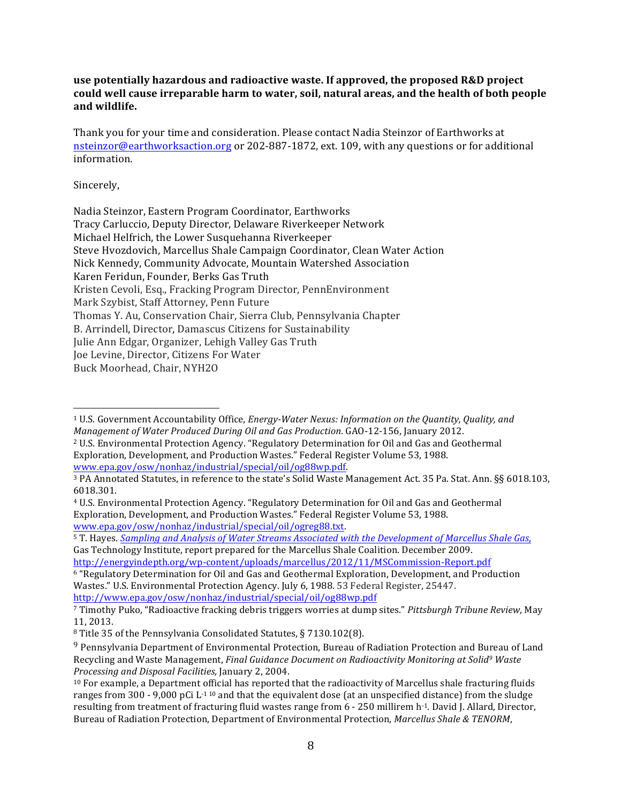**use potentially hazardous and radioactive waste. If approved, the proposed R&D project** could well cause irreparable harm to water, soil, natural areas, and the health of both people **and wildlife.**

Thank you for your time and consideration. Please contact Nadia Steinzor of Earthworks at nsteinzor@earthworksaction.org or 202-887-1872, ext. 109, with any questions or for additional information.

## Sincerely,

 

| Nadia Steinzor, Eastern Program Coordinator, Earthworks                    |
|----------------------------------------------------------------------------|
| Tracy Carluccio, Deputy Director, Delaware Riverkeeper Network             |
| Michael Helfrich, the Lower Susquehanna Riverkeeper                        |
| Steve Hyozdovich, Marcellus Shale Campaign Coordinator, Clean Water Action |
| Nick Kennedy, Community Advocate, Mountain Watershed Association           |
| Karen Feridun, Founder, Berks Gas Truth                                    |
| Kristen Cevoli, Esq., Fracking Program Director, PennEnvironment           |
| Mark Szybist, Staff Attorney, Penn Future                                  |
| Thomas Y. Au, Conservation Chair, Sierra Club, Pennsylvania Chapter        |
| B. Arrindell, Director, Damascus Citizens for Sustainability               |
| Julie Ann Edgar, Organizer, Lehigh Valley Gas Truth                        |
| Joe Levine, Director, Citizens For Water                                   |
| Buck Moorhead, Chair, NYH2O                                                |

<sup>&</sup>lt;sup>1</sup> U.S. Government Accountability Office, *Energy-Water Nexus: Information on the Quantity, Quality, and Management of Water Produced During Oil and Gas Production.* GAO-12-156, January 2012.

<sup>6</sup> "Regulatory Determination for Oil and Gas and Geothermal Exploration, Development, and Production Wastes." U.S. Environmental Protection Agency. July 6, 1988. 53 Federal Register, 25447. http://www.epa.gov/osw/nonhaz/industrial/special/oil/og88wp.pdf

<sup>&</sup>lt;sup>2</sup> U.S. Environmental Protection Agency. "Regulatory Determination for Oil and Gas and Geothermal Exploration, Development, and Production Wastes." Federal Register Volume 53, 1988. www.epa.gov/osw/nonhaz/industrial/special/oil/og88wp.pdf. 

<sup>&</sup>lt;sup>3</sup> PA Annotated Statutes, in reference to the state's Solid Waste Management Act. 35 Pa. Stat. Ann. §§ 6018.103, 6018.301.

<sup>&</sup>lt;sup>4</sup> U.S. Environmental Protection Agency. "Regulatory Determination for Oil and Gas and Geothermal Exploration, Development, and Production Wastes." Federal Register Volume 53, 1988. www.epa.gov/osw/nonhaz/industrial/special/oil/ogreg88.txt. 

<sup>&</sup>lt;sup>5</sup> T. Hayes. *Sampling and Analysis of Water Streams Associated with the Development of Marcellus Shale Gas,* Gas Technology Institute, report prepared for the Marcellus Shale Coalition. December 2009. http://energyindepth.org/wp-content/uploads/marcellus/2012/11/MSCommission-Report.pdf

<sup>&</sup>lt;sup>7</sup> Timothy Puko, "Radioactive fracking debris triggers worries at dump sites." *Pittsburgh Tribune Review*, May 11, 2013.

<sup>&</sup>lt;sup>8</sup> Title 35 of the Pennsylvania Consolidated Statutes, § 7130.102(8).

<sup>&</sup>lt;sup>9</sup> Pennsylvania Department of Environmental Protection, Bureau of Radiation Protection and Bureau of Land Recycling and Waste Management, *Final Guidance Document on Radioactivity Monitoring at Solid<sup>9</sup> Waste Processing and Disposal Facilities,* January 2, 2004.

 $10$  For example, a Department official has reported that the radioactivity of Marcellus shale fracturing fluids ranges from 300 - 9,000 pCi L<sup>-1 10</sup> and that the equivalent dose (at an unspecified distance) from the sludge resulting from treatment of fracturing fluid wastes range from 6 - 250 millirem h-1. David J. Allard, Director, Bureau of Radiation Protection, Department of Environmental Protection, *Marcellus Shale & TENORM*,